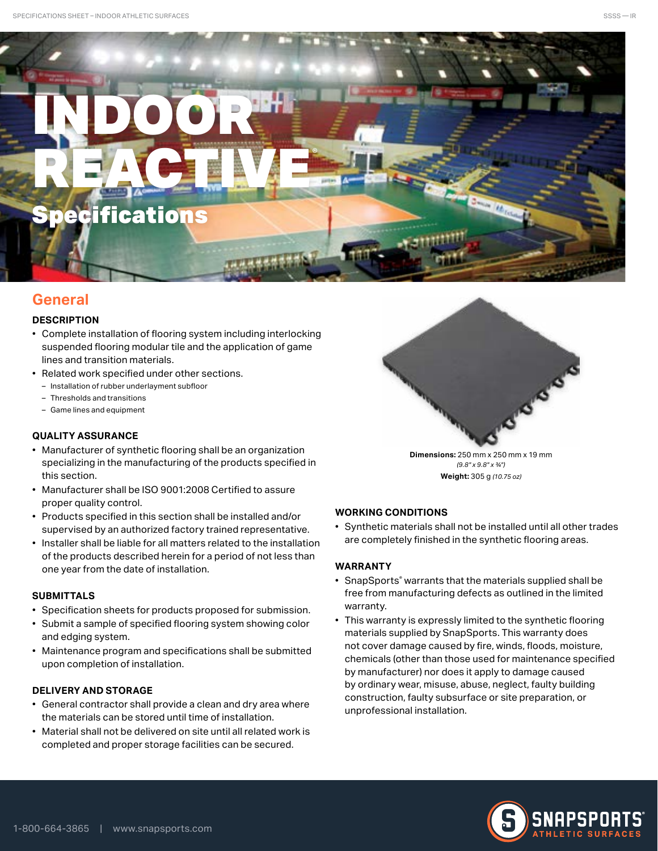# INDOOR REACTIVE **Specifications**

# **General**

# **DESCRIPTION**

- Complete installation of flooring system including interlocking suspended flooring modular tile and the application of game lines and transition materials.
- Related work specified under other sections.
	- Installation of rubber underlayment subfloor
	- Thresholds and transitions
	- Game lines and equipment

# **QUALITY ASSURANCE**

- Manufacturer of synthetic flooring shall be an organization specializing in the manufacturing of the products specified in this section.
- Manufacturer shall be ISO 9001:2008 Certified to assure proper quality control.
- Products specified in this section shall be installed and/or supervised by an authorized factory trained representative.
- Installer shall be liable for all matters related to the installation of the products described herein for a period of not less than one year from the date of installation.

# **SUBMITTALS**

- Specification sheets for products proposed for submission.
- Submit a sample of specified flooring system showing color and edging system.
- Maintenance program and specifications shall be submitted upon completion of installation.

# **DELIVERY AND STORAGE**

- General contractor shall provide a clean and dry area where the materials can be stored until time of installation.
- Material shall not be delivered on site until all related work is completed and proper storage facilities can be secured.



**Dimensions:** 250 mm x 250 mm x 19 mm *(9.8" x 9.8" x 3/4")* **Weight:** 305 g *(10.75 oz)*

# **WORKING CONDITIONS**

• Synthetic materials shall not be installed until all other trades are completely finished in the synthetic flooring areas.

# **WARRANTY**

- SnapSports® warrants that the materials supplied shall be free from manufacturing defects as outlined in the limited warranty.
- This warranty is expressly limited to the synthetic flooring materials supplied by SnapSports. This warranty does not cover damage caused by fire, winds, floods, moisture, chemicals (other than those used for maintenance specified by manufacturer) nor does it apply to damage caused by ordinary wear, misuse, abuse, neglect, faulty building construction, faulty subsurface or site preparation, or unprofessional installation.